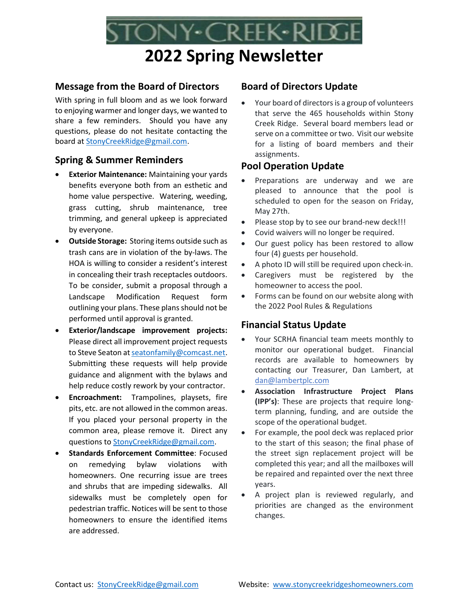# 2022 Spring Newsletter

ony•Creek•Rid

## Message from the Board of Directors

With spring in full bloom and as we look forward to enjoying warmer and longer days, we wanted to share a few reminders. Should you have any questions, please do not hesitate contacting the board at StonyCreekRidge@gmail.com.

## Spring & Summer Reminders

- Exterior Maintenance: Maintaining your yards benefits everyone both from an esthetic and home value perspective. Watering, weeding, grass cutting, shrub maintenance, tree trimming, and general upkeep is appreciated by everyone.
- Outside Storage: Storing items outside such as trash cans are in violation of the by-laws. The HOA is willing to consider a resident's interest in concealing their trash receptacles outdoors. To be consider, submit a proposal through a Landscape Modification Request form outlining your plans. These plans should not be performed until approval is granted.
- Exterior/landscape improvement projects: Please direct all improvement project requests to Steve Seaton at seatonfamily@comcast.net. Submitting these requests will help provide guidance and alignment with the bylaws and help reduce costly rework by your contractor.
- Encroachment: Trampolines, playsets, fire pits, etc. are not allowed in the common areas. If you placed your personal property in the common area, please remove it. Direct any questions to StonyCreekRidge@gmail.com.
- Standards Enforcement Committee: Focused on remedying bylaw violations with homeowners. One recurring issue are trees and shrubs that are impeding sidewalks. All sidewalks must be completely open for pedestrian traffic. Notices will be sent to those homeowners to ensure the identified items are addressed.

## Board of Directors Update

 Your board of directors is a group of volunteers that serve the 465 households within Stony Creek Ridge. Several board members lead or serve on a committee or two. Visit our website for a listing of board members and their assignments.

# Pool Operation Update

- Preparations are underway and we are pleased to announce that the pool is scheduled to open for the season on Friday, May 27th.
- Please stop by to see our brand-new deck!!!
- Covid waivers will no longer be required.
- Our guest policy has been restored to allow four (4) guests per household.
- A photo ID will still be required upon check-in.
- Caregivers must be registered by the homeowner to access the pool.
- Forms can be found on our website along with the 2022 Pool Rules & Regulations

# Financial Status Update

- Your SCRHA financial team meets monthly to monitor our operational budget. Financial records are available to homeowners by contacting our Treasurer, Dan Lambert, at dan@lambertplc.com
- Association Infrastructure Project Plans (IPP's): These are projects that require longterm planning, funding, and are outside the scope of the operational budget.
- For example, the pool deck was replaced prior to the start of this season; the final phase of the street sign replacement project will be completed this year; and all the mailboxes will be repaired and repainted over the next three years.
- A project plan is reviewed regularly, and priorities are changed as the environment changes.